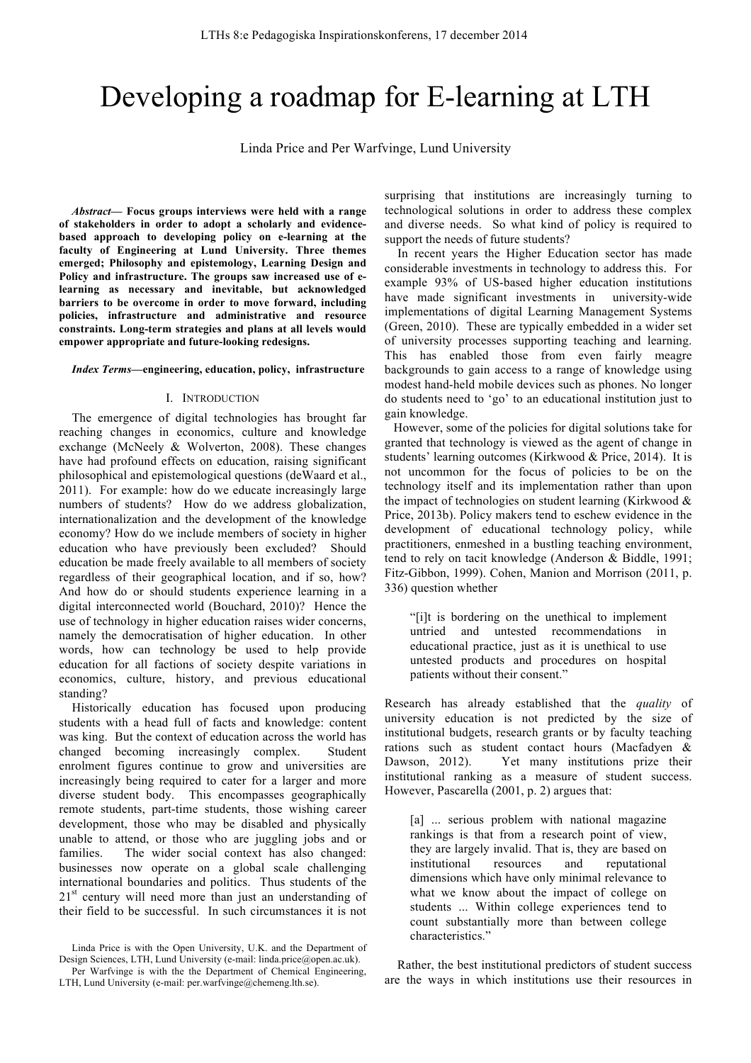# Developing a roadmap for E-learning at LTH

Linda Price and Per Warfvinge, Lund University

*Abstract***— Focus groups interviews were held with a range of stakeholders in order to adopt a scholarly and evidencebased approach to developing policy on e-learning at the faculty of Engineering at Lund University. Three themes emerged; Philosophy and epistemology, Learning Design and Policy and infrastructure. The groups saw increased use of elearning as necessary and inevitable, but acknowledged barriers to be overcome in order to move forward, including policies, infrastructure and administrative and resource constraints. Long-term strategies and plans at all levels would empower appropriate and future-looking redesigns.**

#### *Index Terms***—engineering, education, policy, infrastructure**

## I. INTRODUCTION

The emergence of digital technologies has brought far reaching changes in economics, culture and knowledge exchange (McNeely & Wolverton, 2008). These changes have had profound effects on education, raising significant philosophical and epistemological questions (deWaard et al., 2011). For example: how do we educate increasingly large numbers of students? How do we address globalization, internationalization and the development of the knowledge economy? How do we include members of society in higher education who have previously been excluded? Should education be made freely available to all members of society regardless of their geographical location, and if so, how? And how do or should students experience learning in a digital interconnected world (Bouchard, 2010)? Hence the use of technology in higher education raises wider concerns, namely the democratisation of higher education. In other words, how can technology be used to help provide education for all factions of society despite variations in economics, culture, history, and previous educational standing?

Historically education has focused upon producing students with a head full of facts and knowledge: content was king. But the context of education across the world has changed becoming increasingly complex. Student enrolment figures continue to grow and universities are increasingly being required to cater for a larger and more diverse student body. This encompasses geographically remote students, part-time students, those wishing career development, those who may be disabled and physically unable to attend, or those who are juggling jobs and or families. The wider social context has also changed: businesses now operate on a global scale challenging international boundaries and politics. Thus students of the  $21<sup>st</sup>$  century will need more than just an understanding of their field to be successful. In such circumstances it is not

Linda Price is with the Open University, U.K. and the Department of Design Sciences, LTH, Lund University (e-mail: linda.price@open.ac.uk).

surprising that institutions are increasingly turning to technological solutions in order to address these complex and diverse needs. So what kind of policy is required to support the needs of future students?

In recent years the Higher Education sector has made considerable investments in technology to address this. For example 93% of US-based higher education institutions have made significant investments in university-wide implementations of digital Learning Management Systems (Green, 2010). These are typically embedded in a wider set of university processes supporting teaching and learning. This has enabled those from even fairly meagre backgrounds to gain access to a range of knowledge using modest hand-held mobile devices such as phones. No longer do students need to 'go' to an educational institution just to gain knowledge.

However, some of the policies for digital solutions take for granted that technology is viewed as the agent of change in students' learning outcomes (Kirkwood & Price, 2014). It is not uncommon for the focus of policies to be on the technology itself and its implementation rather than upon the impact of technologies on student learning (Kirkwood & Price, 2013b). Policy makers tend to eschew evidence in the development of educational technology policy, while practitioners, enmeshed in a bustling teaching environment, tend to rely on tacit knowledge (Anderson & Biddle, 1991; Fitz-Gibbon, 1999). Cohen, Manion and Morrison (2011, p. 336) question whether

"[i]t is bordering on the unethical to implement untried and untested recommendations in educational practice, just as it is unethical to use untested products and procedures on hospital patients without their consent."

Research has already established that the *quality* of university education is not predicted by the size of institutional budgets, research grants or by faculty teaching rations such as student contact hours (Macfadyen & Dawson, 2012). Yet many institutions prize their institutional ranking as a measure of student success. However, Pascarella (2001, p. 2) argues that:

[a] ... serious problem with national magazine rankings is that from a research point of view, they are largely invalid. That is, they are based on institutional resources and reputational dimensions which have only minimal relevance to what we know about the impact of college on students ... Within college experiences tend to count substantially more than between college characteristics."

Rather, the best institutional predictors of student success are the ways in which institutions use their resources in

Per Warfvinge is with the the Department of Chemical Engineering, LTH, Lund University (e-mail: per.warfvinge@chemeng.lth.se).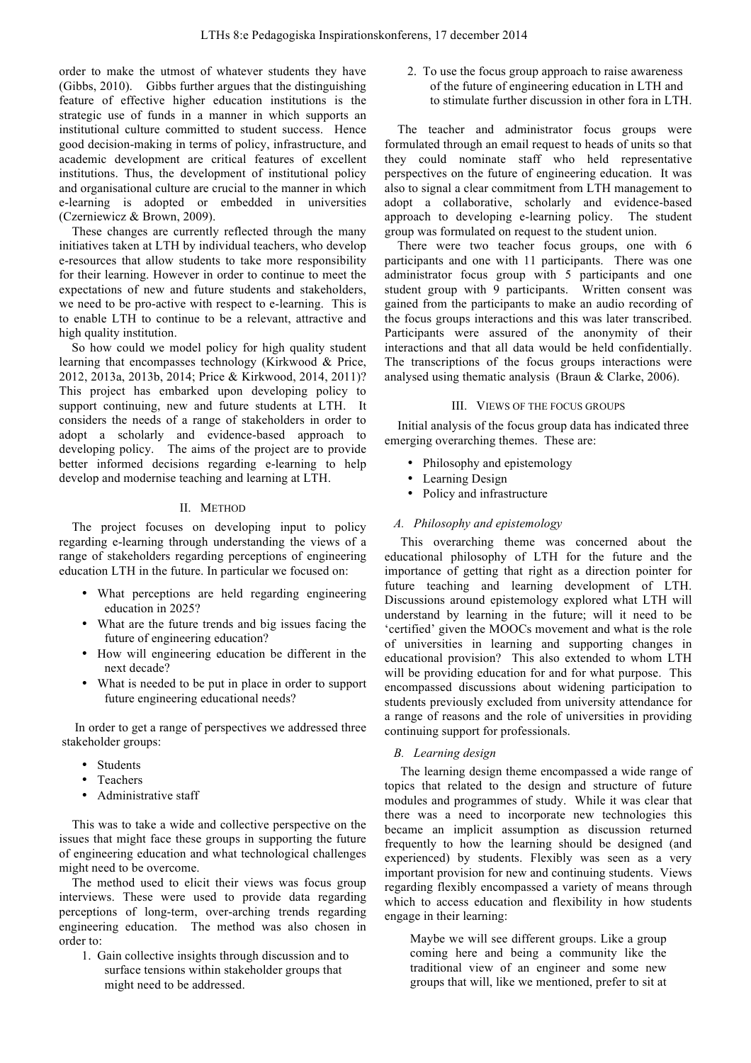order to make the utmost of whatever students they have (Gibbs, 2010). Gibbs further argues that the distinguishing feature of effective higher education institutions is the strategic use of funds in a manner in which supports an institutional culture committed to student success. Hence good decision-making in terms of policy, infrastructure, and academic development are critical features of excellent institutions. Thus, the development of institutional policy and organisational culture are crucial to the manner in which e-learning is adopted or embedded in universities (Czerniewicz & Brown, 2009).

These changes are currently reflected through the many initiatives taken at LTH by individual teachers, who develop e-resources that allow students to take more responsibility for their learning. However in order to continue to meet the expectations of new and future students and stakeholders, we need to be pro-active with respect to e-learning. This is to enable LTH to continue to be a relevant, attractive and high quality institution.

So how could we model policy for high quality student learning that encompasses technology (Kirkwood & Price, 2012, 2013a, 2013b, 2014; Price & Kirkwood, 2014, 2011)? This project has embarked upon developing policy to support continuing, new and future students at LTH. It considers the needs of a range of stakeholders in order to adopt a scholarly and evidence-based approach to developing policy. The aims of the project are to provide better informed decisions regarding e-learning to help develop and modernise teaching and learning at LTH.

## II. METHOD

The project focuses on developing input to policy regarding e-learning through understanding the views of a range of stakeholders regarding perceptions of engineering education LTH in the future. In particular we focused on:

- What perceptions are held regarding engineering education in 2025?
- What are the future trends and big issues facing the future of engineering education?
- How will engineering education be different in the next decade?
- What is needed to be put in place in order to support future engineering educational needs?

In order to get a range of perspectives we addressed three stakeholder groups:

- Students
- Teachers
- Administrative staff

This was to take a wide and collective perspective on the issues that might face these groups in supporting the future of engineering education and what technological challenges might need to be overcome.

The method used to elicit their views was focus group interviews. These were used to provide data regarding perceptions of long-term, over-arching trends regarding engineering education. The method was also chosen in order to:

1. Gain collective insights through discussion and to surface tensions within stakeholder groups that might need to be addressed.

2. To use the focus group approach to raise awareness of the future of engineering education in LTH and to stimulate further discussion in other fora in LTH.

The teacher and administrator focus groups were formulated through an email request to heads of units so that they could nominate staff who held representative perspectives on the future of engineering education. It was also to signal a clear commitment from LTH management to adopt a collaborative, scholarly and evidence-based approach to developing e-learning policy. The student group was formulated on request to the student union.

There were two teacher focus groups, one with 6 participants and one with 11 participants. There was one administrator focus group with 5 participants and one student group with 9 participants. Written consent was gained from the participants to make an audio recording of the focus groups interactions and this was later transcribed. Participants were assured of the anonymity of their interactions and that all data would be held confidentially. The transcriptions of the focus groups interactions were analysed using thematic analysis (Braun & Clarke, 2006).

## III. VIEWS OF THE FOCUS GROUPS

Initial analysis of the focus group data has indicated three emerging overarching themes. These are:

- Philosophy and epistemology
- Learning Design
- Policy and infrastructure

# *A. Philosophy and epistemology*

This overarching theme was concerned about the educational philosophy of LTH for the future and the importance of getting that right as a direction pointer for future teaching and learning development of LTH. Discussions around epistemology explored what LTH will understand by learning in the future; will it need to be 'certified' given the MOOCs movement and what is the role of universities in learning and supporting changes in educational provision? This also extended to whom LTH will be providing education for and for what purpose. This encompassed discussions about widening participation to students previously excluded from university attendance for a range of reasons and the role of universities in providing continuing support for professionals.

## *B. Learning design*

The learning design theme encompassed a wide range of topics that related to the design and structure of future modules and programmes of study. While it was clear that there was a need to incorporate new technologies this became an implicit assumption as discussion returned frequently to how the learning should be designed (and experienced) by students. Flexibly was seen as a very important provision for new and continuing students. Views regarding flexibly encompassed a variety of means through which to access education and flexibility in how students engage in their learning:

Maybe we will see different groups. Like a group coming here and being a community like the traditional view of an engineer and some new groups that will, like we mentioned, prefer to sit at